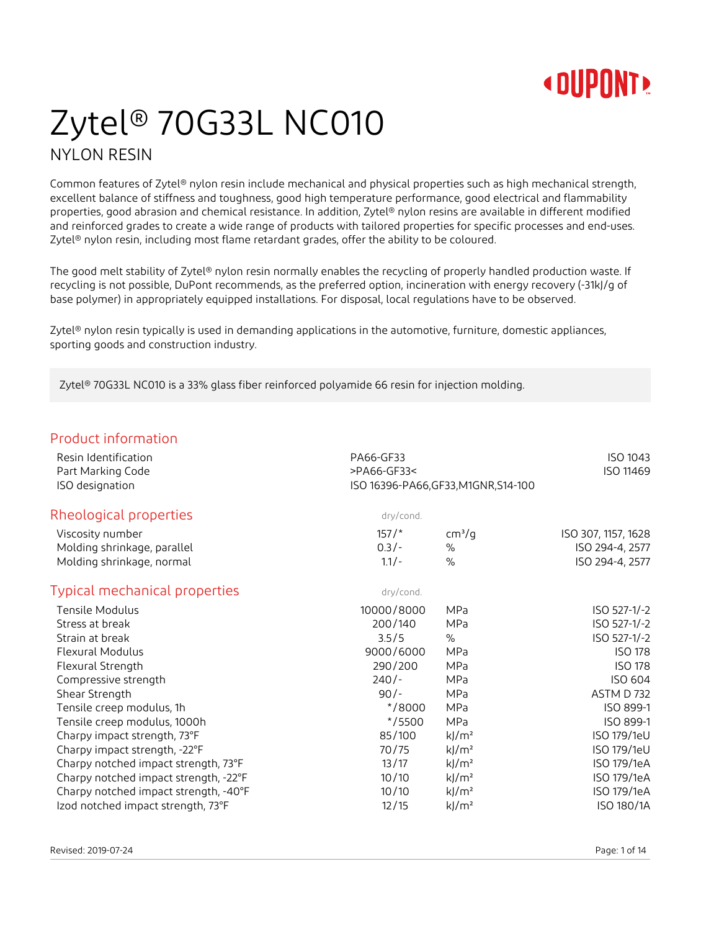## Zytel® 70G33L NC010 NYLON RESIN

Common features of Zytel® nylon resin include mechanical and physical properties such as high mechanical strength, excellent balance of stiffness and toughness, good high temperature performance, good electrical and flammability properties, good abrasion and chemical resistance. In addition, Zytel® nylon resins are available in different modified and reinforced grades to create a wide range of products with tailored properties for specific processes and end-uses. Zytel<sup>®</sup> nylon resin, including most flame retardant grades, offer the ability to be coloured.

The good melt stability of Zytel® nylon resin normally enables the recycling of properly handled production waste. If recycling is not possible, DuPont recommends, as the preferred option, incineration with energy recovery (-31kJ/g of base polymer) in appropriately equipped installations. For disposal, local regulations have to be observed.

Zytel® nylon resin typically is used in demanding applications in the automotive, furniture, domestic appliances, sporting goods and construction industry.

Zytel® 70G33L NC010 is a 33% glass fiber reinforced polyamide 66 resin for injection molding.

### Product information

| Resin Identification<br>Part Marking Code | PA66-GF33<br>>PA66-GF33<             |                     | ISO 1043<br>ISO 11469 |
|-------------------------------------------|--------------------------------------|---------------------|-----------------------|
| ISO designation                           | ISO 16396-PA66, GF33, M1GNR, S14-100 |                     |                       |
| Rheological properties                    | dry/cond.                            |                     |                       |
| Viscosity number                          | $157/$ *                             | cm <sup>3</sup> /q  | ISO 307, 1157, 1628   |
| Molding shrinkage, parallel               | $0.3/-$                              | $\%$                | ISO 294-4, 2577       |
| Molding shrinkage, normal                 | $1.1/-$                              | $\%$                | ISO 294-4, 2577       |
| Typical mechanical properties             | dry/cond.                            |                     |                       |
| Tensile Modulus                           | 10000/8000                           | MPa                 | ISO 527-1/-2          |
| Stress at break                           | 200/140                              | MPa                 | ISO 527-1/-2          |
| Strain at break                           | 3.5/5                                | $\%$                | ISO 527-1/-2          |
| Flexural Modulus                          | 9000/6000                            | MPa                 | <b>ISO 178</b>        |
| Flexural Strength                         | 290/200                              | MPa                 | <b>ISO 178</b>        |
| Compressive strength                      | $240/-$                              | MPa                 | ISO 604               |
| Shear Strength                            | $90/-$                               | MPa                 | ASTM D732             |
| Tensile creep modulus, 1h                 | $*$ /8000                            | MPa                 | ISO 899-1             |
| Tensile creep modulus, 1000h              | $*$ /5500                            | MPa                 | ISO 899-1             |
| Charpy impact strength, 73°F              | 85/100                               | $k$ /m <sup>2</sup> | ISO 179/1eU           |
| Charpy impact strength, -22°F             | 70/75                                | $k$ /m <sup>2</sup> | ISO 179/1eU           |
| Charpy notched impact strength, 73°F      | 13/17                                | $k$ /m <sup>2</sup> | ISO 179/1eA           |
| Charpy notched impact strength, -22°F     | 10/10                                | $k$ /m <sup>2</sup> | ISO 179/1eA           |
| Charpy notched impact strength, -40°F     | 10/10                                | $k$ /m <sup>2</sup> | ISO 179/1eA           |
| Izod notched impact strength, 73°F        | 12/15                                | $k$ /m <sup>2</sup> | ISO 180/1A            |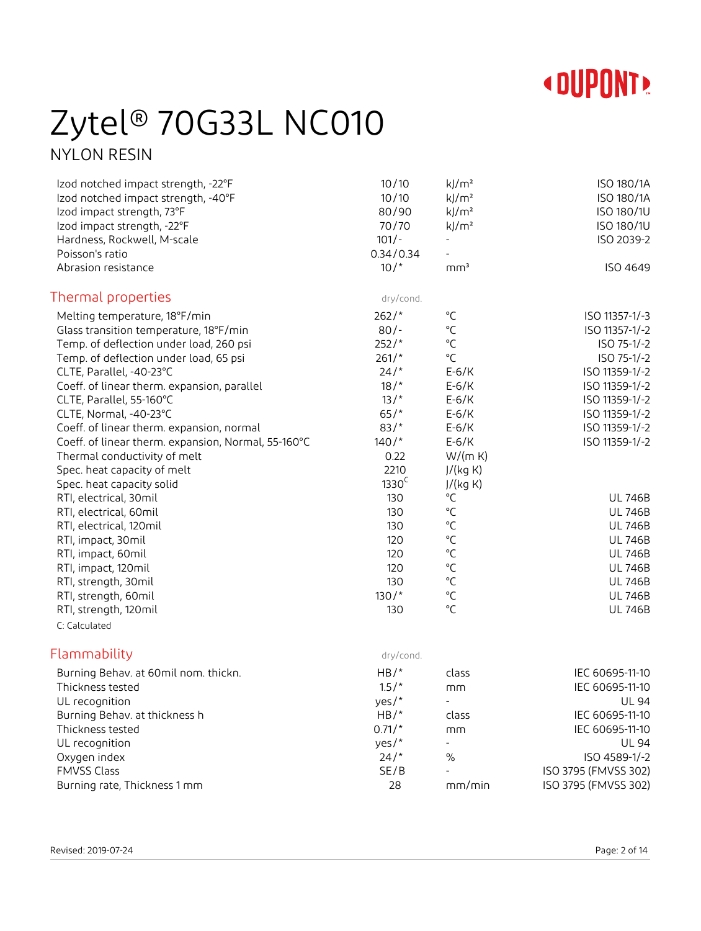

### Zytel® 70G33L NC010 NYLON RESIN

Izod notched impact strength, -22°F 10/10 kJ/m<sup>2</sup> kJ/m<sup>2</sup> ISO 180/1A Izod notched impact strength, -40°F 10/10 kJ/m<sup>2</sup> kJ/m<sup>2</sup> 150 180/1A Izod impact strength, 73°F and 1900 kJ/m<sup>2</sup> kJ/m<sup>2</sup> and iso 180/1U  $Iz$ od impact strength, -22 $\degree$ F 1900 180/10 and  $\degree$  70/70 and  $\degree$   $\degree$  ISO 180/10 and  $\degree$  ISO 180/10 Hardness, Rockwell, M-scale 101/- 101/- 101/- The ISO 2039-2

| Poisson's ratio                                     | 0.34/0.34         |                 |                 |
|-----------------------------------------------------|-------------------|-----------------|-----------------|
| Abrasion resistance                                 | $10/$ *           | mm <sup>3</sup> | <b>ISO 4649</b> |
| Thermal properties                                  | dry/cond.         |                 |                 |
| Melting temperature, 18°F/min                       | $262/*$           | °C              | ISO 11357-1/-3  |
| Glass transition temperature, 18°F/min              | $80/-$            | $^{\circ}$ C    | ISO 11357-1/-2  |
| Temp. of deflection under load, 260 psi             | $252/*$           | $^{\circ}$ C    | ISO 75-1/-2     |
| Temp. of deflection under load, 65 psi              | $261/*$           | °C              | ISO 75-1/-2     |
| CLTE, Parallel, -40-23°C                            | 24/               | $E-6/K$         | ISO 11359-1/-2  |
| Coeff. of linear therm. expansion, parallel         | 18/               | $E-6/K$         | ISO 11359-1/-2  |
| CLTE, Parallel, 55-160°C                            | $13/$ *           | $E-6/K$         | ISO 11359-1/-2  |
| CLTE, Normal, -40-23°C                              | $65/$ *           | $E-6/K$         | ISO 11359-1/-2  |
| Coeff. of linear therm. expansion, normal           | $83/*$            | $E-6/K$         | ISO 11359-1/-2  |
| Coeff. of linear therm. expansion, Normal, 55-160°C | $140/*$           | $E-6/K$         | ISO 11359-1/-2  |
| Thermal conductivity of melt                        | 0.22              | W/(m K)         |                 |
| Spec. heat capacity of melt                         | 2210              | J/(kg K)        |                 |
| Spec. heat capacity solid                           | 1330 <sup>C</sup> | J/(kg K)        |                 |
| RTI, electrical, 30mil                              | 130               | °C              | <b>UL 746B</b>  |
| RTI, electrical, 60mil                              | 130               | $^{\circ}$ C    | <b>UL 746B</b>  |
| RTI, electrical, 120mil                             | 130               | °C              | <b>UL 746B</b>  |
| RTI, impact, 30mil                                  | 120               | $^{\circ}$ C    | <b>UL 746B</b>  |
| RTI, impact, 60mil                                  | 120               | $^{\circ}$ C    | <b>UL 746B</b>  |
| RTI, impact, 120mil                                 | 120               | $^{\circ}$ C    | <b>UL 746B</b>  |
| RTI, strength, 30mil                                | 130               | $^{\circ}$ C    | <b>UL 746B</b>  |
| RTI, strength, 60mil                                | $130/*$           | °C              | <b>UL 746B</b>  |
| RTI, strength, 120mil                               | 130               | °C              | <b>UL 746B</b>  |
| C: Calculated                                       |                   |                 |                 |

### Flammability dry/cond.

| Burning Behav. at 60mil nom. thickn. | $HB/*$   | class                    | IEC 60695-11-10      |
|--------------------------------------|----------|--------------------------|----------------------|
| Thickness tested                     | $1.5/$ * | mm                       | IEC 60695-11-10      |
| UL recognition                       | yes/ $*$ | $\overline{\phantom{a}}$ | <b>UL 94</b>         |
| Burning Behav. at thickness h        | $HB/*$   | class                    | IEC 60695-11-10      |
| Thickness tested                     | $0.71/*$ | mm                       | IEC 60695-11-10      |
| UL recognition                       | yes/ $*$ | $\overline{\phantom{a}}$ | UL 94                |
| Oxygen index                         | 24/      | $\%$                     | ISO 4589-1/-2        |
| <b>FMVSS Class</b>                   | SE/B     |                          | ISO 3795 (FMVSS 302) |
| Burning rate, Thickness 1 mm         | 28       | mm/min                   | ISO 3795 (FMVSS 302) |
|                                      |          |                          |                      |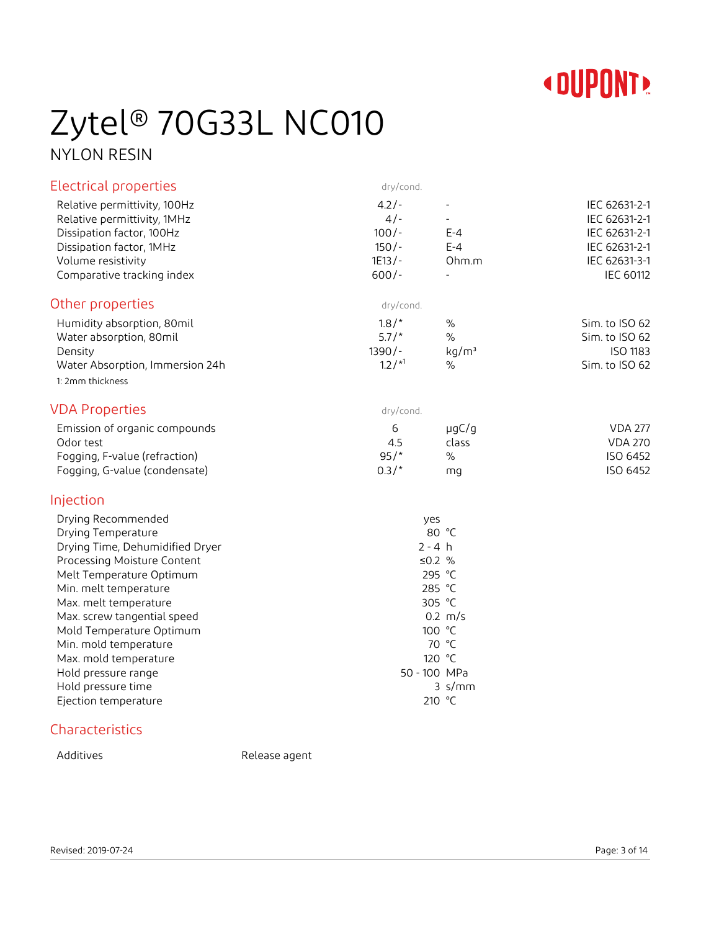

# Zytel® 70G33L NC010

NYLON RESIN

| <b>Electrical properties</b>                                | dry/cond.                   |                                            |                                |
|-------------------------------------------------------------|-----------------------------|--------------------------------------------|--------------------------------|
| Relative permittivity, 100Hz<br>Relative permittivity, 1MHz | $4.2/-$<br>$4/-$<br>$100/-$ | $\overline{\phantom{a}}$<br>$\blacksquare$ | IEC 62631-2-1<br>IEC 62631-2-1 |
| Dissipation factor, 100Hz                                   | $150/-$                     | $E - 4$<br>$E - 4$                         | IEC 62631-2-1                  |
| Dissipation factor, 1MHz<br>Volume resistivity              | $1E13/-$                    | Ohm.m                                      | IEC 62631-2-1<br>IEC 62631-3-1 |
| Comparative tracking index                                  | $600/-$                     | $\blacksquare$                             | <b>IEC 60112</b>               |
| Other properties                                            | dry/cond.                   |                                            |                                |
| Humidity absorption, 80mil                                  | 1.8/                        | $\%$                                       | Sim. to ISO 62                 |
| Water absorption, 80mil                                     | $5.7/*$                     | $\%$                                       | Sim. to ISO 62                 |
| Density                                                     | $1390/-$                    | kg/m <sup>3</sup>                          | ISO 1183                       |
| Water Absorption, Immersion 24h                             | $1.2/{}^{*1}$               | $\%$                                       | Sim. to ISO 62                 |
| 1: 2mm thickness                                            |                             |                                            |                                |
| <b>VDA Properties</b>                                       | dry/cond.                   |                                            |                                |
| Emission of organic compounds                               | 6                           | $\mu$ gC/g                                 | <b>VDA 277</b>                 |
| Odor test                                                   | 4.5                         | class                                      | <b>VDA 270</b>                 |
| Fogging, F-value (refraction)                               | 95/                         | $\frac{0}{0}$                              | ISO 6452                       |
| Fogging, G-value (condensate)                               | $0.3/*$                     | mg                                         | ISO 6452                       |
| Injection                                                   |                             |                                            |                                |
| Drying Recommended                                          | yes                         |                                            |                                |
| Drying Temperature                                          | 80 °C                       |                                            |                                |
| Drying Time, Dehumidified Dryer                             |                             | $2 - 4 h$                                  |                                |
| Processing Moisture Content                                 |                             | ≤0.2 $%$                                   |                                |
| Melt Temperature Optimum                                    |                             | 295 °C                                     |                                |
| Min. melt temperature                                       |                             | 285 °C                                     |                                |
| Max. melt temperature                                       |                             | 305 °C                                     |                                |
| Max. screw tangential speed                                 |                             | $0.2 \, m/s$                               |                                |
| Mold Temperature Optimum                                    |                             | 100 °C                                     |                                |
| Min. mold temperature                                       |                             | 70 °C                                      |                                |
| Max. mold temperature                                       |                             | 120 °C<br>50 - 100 MPa                     |                                |
| Hold pressure range<br>Hold pressure time                   |                             | $3 \,$ s/mm                                |                                |
| Ejection temperature                                        |                             | 210 °C                                     |                                |
|                                                             |                             |                                            |                                |

### Characteristics

Additives Release agent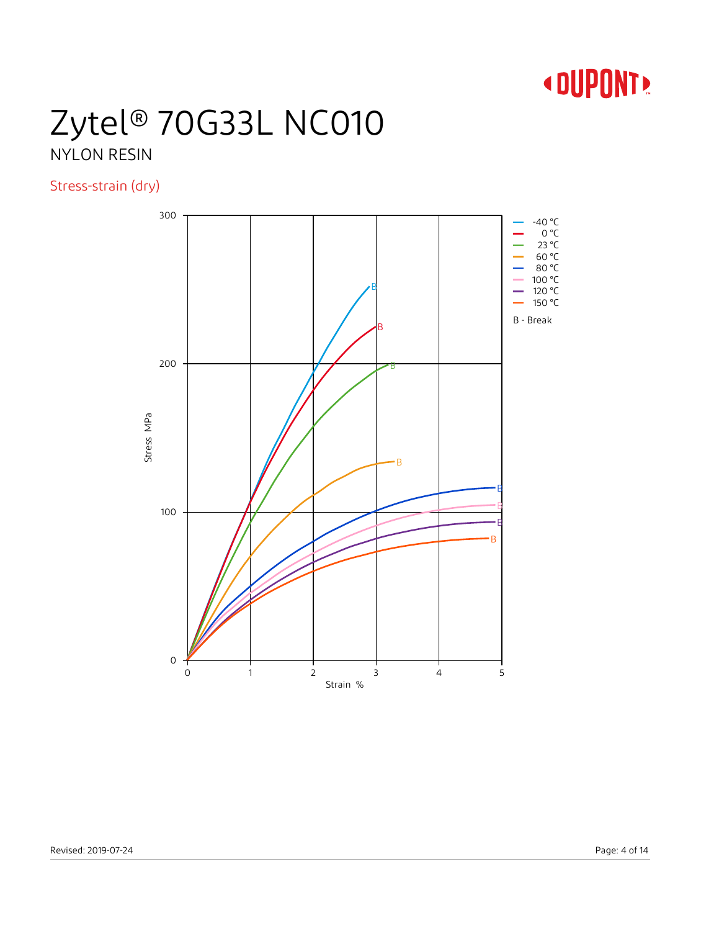

## Zytel® 70G33L NC010 NYLON RESIN

Stress-strain (dry)

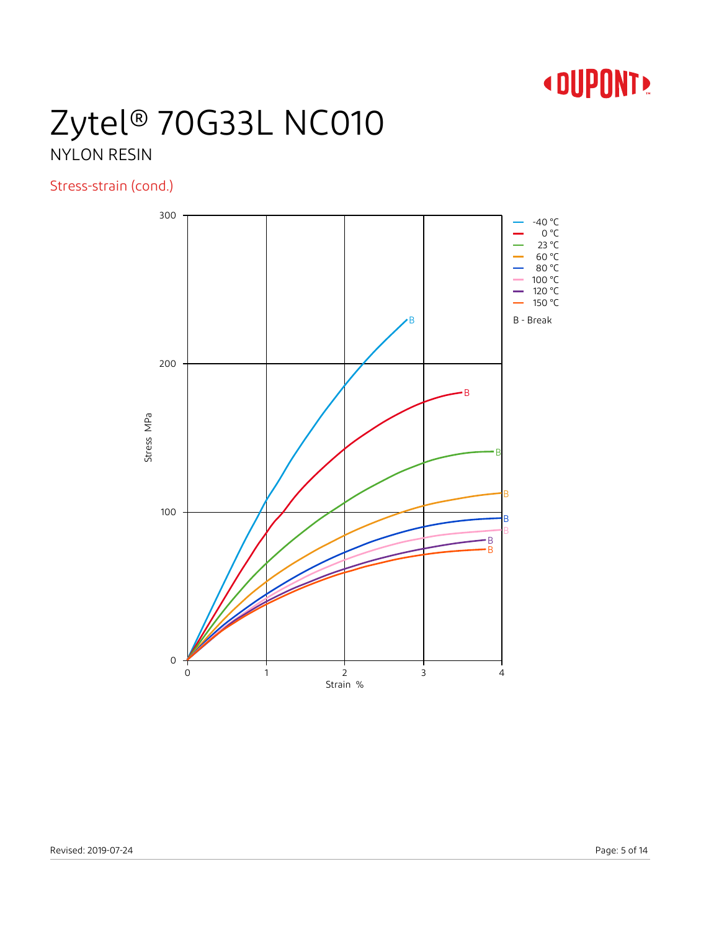

### Zytel® 70G33L NC010 NYLON RESIN

### Stress-strain (cond.)

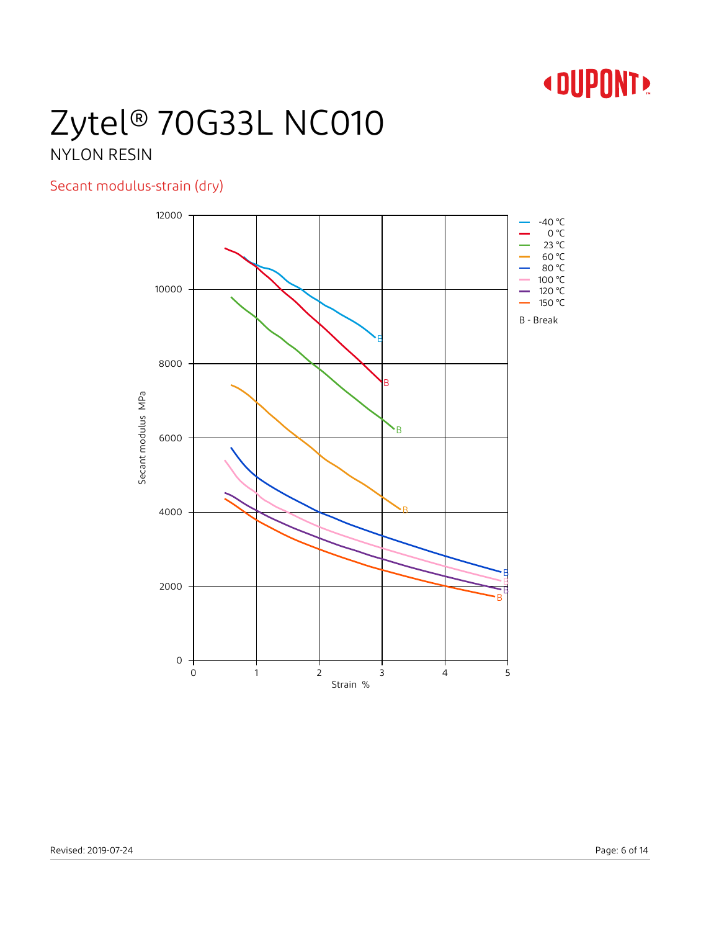## Zytel® 70G33L NC010 NYLON RESIN

### Secant modulus-strain (dry)

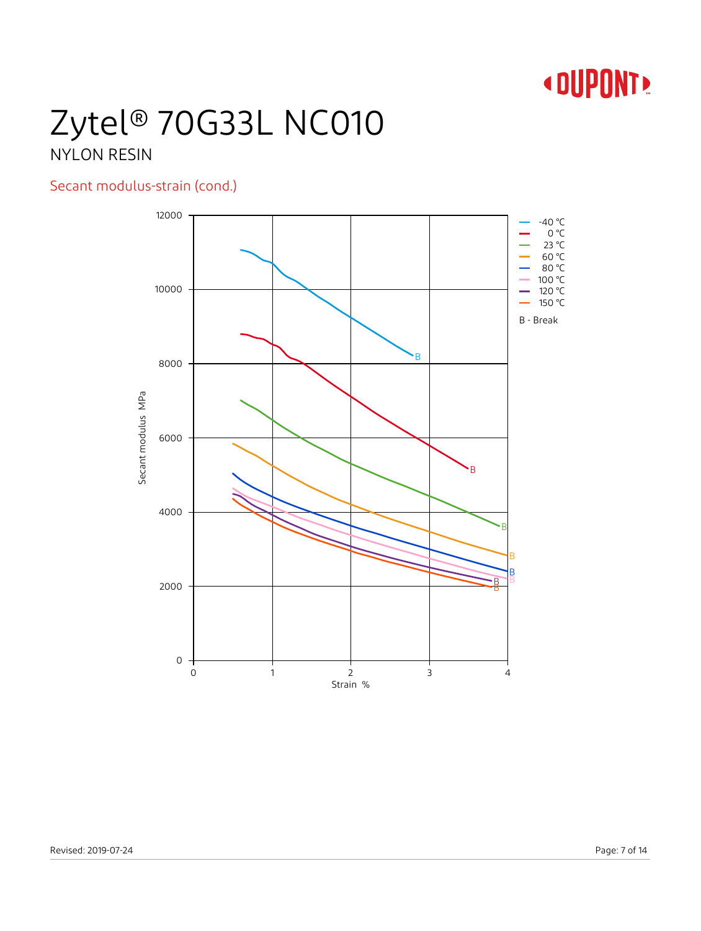## Zytel® 70G33L NC010 NYLON RESIN

### Secant modulus-strain (cond.)

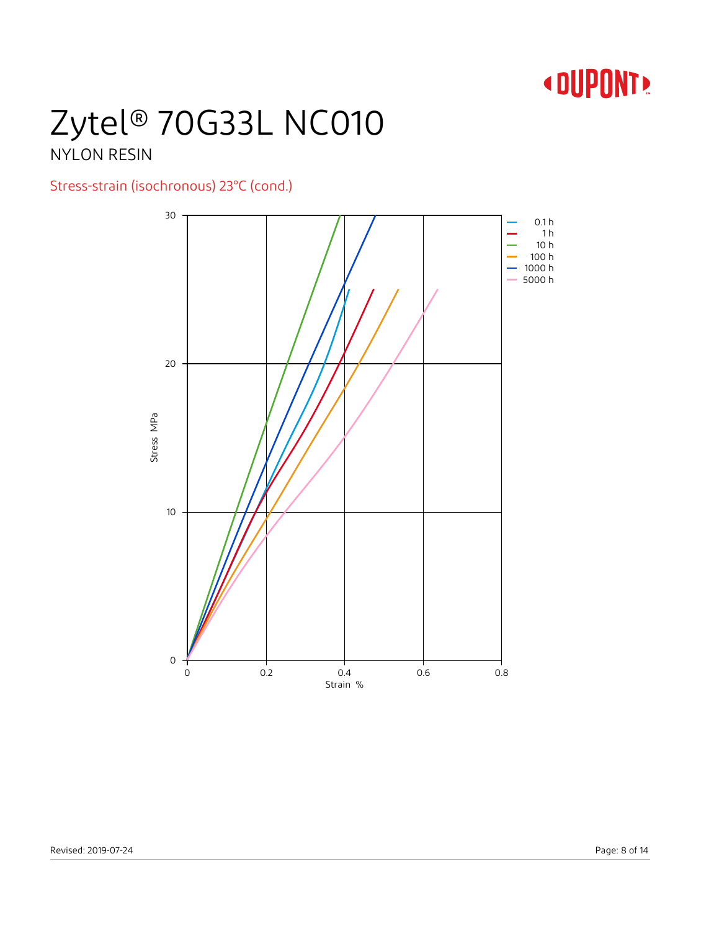## Zytel® 70G33L NC010 NYLON RESIN

### Stress-strain (isochronous) 23°C (cond.)

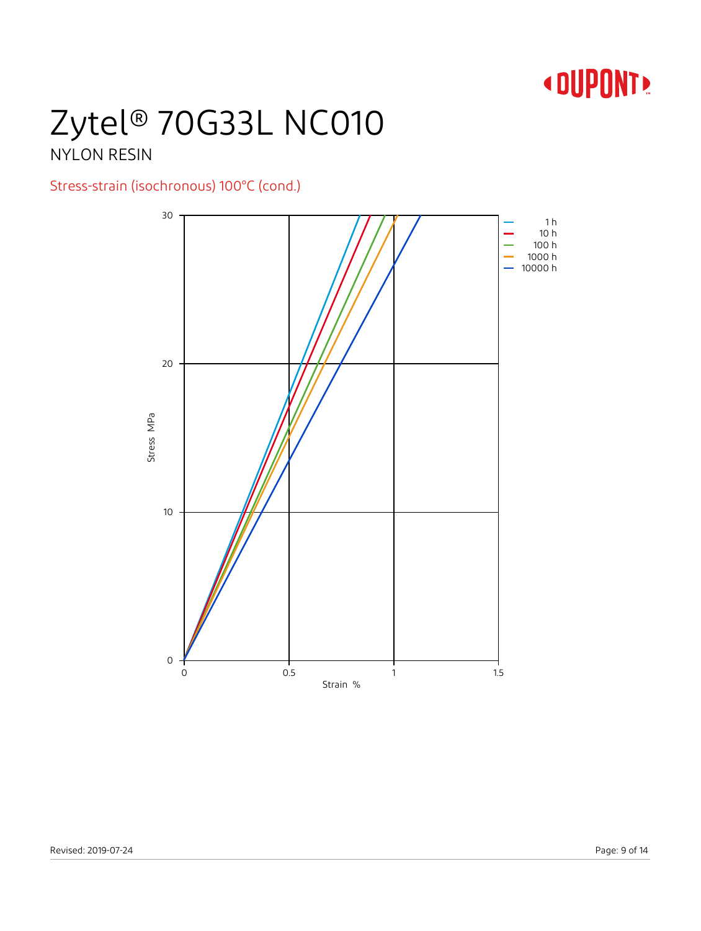## Zytel® 70G33L NC010 NYLON RESIN

### Stress-strain (isochronous) 100°C (cond.)

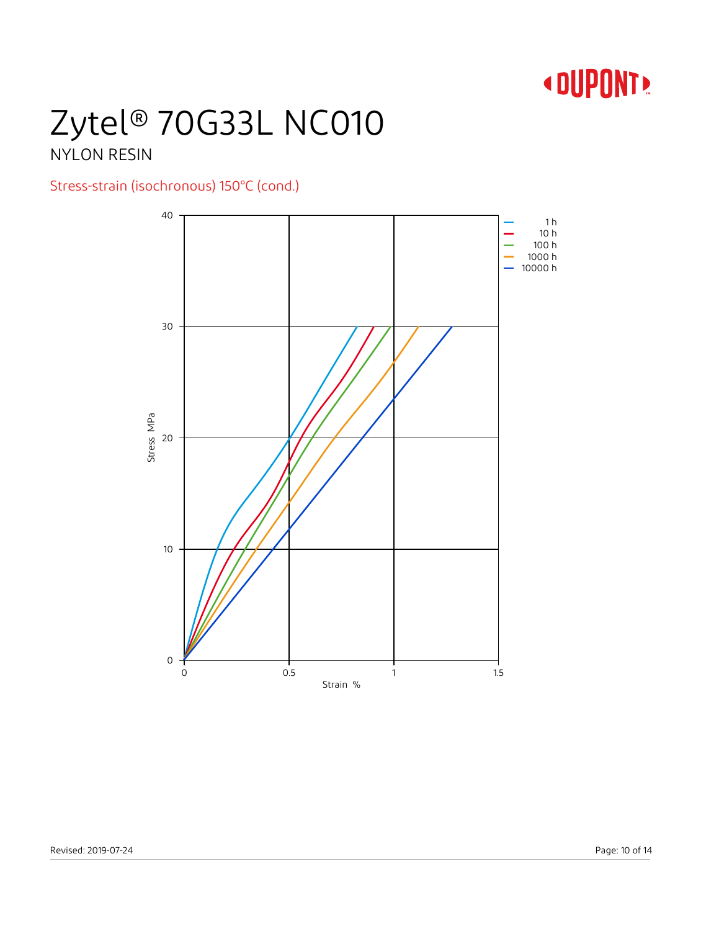# Zytel® 70G33L NC010

### NYLON RESIN

### Stress-strain (isochronous) 150°C (cond.)

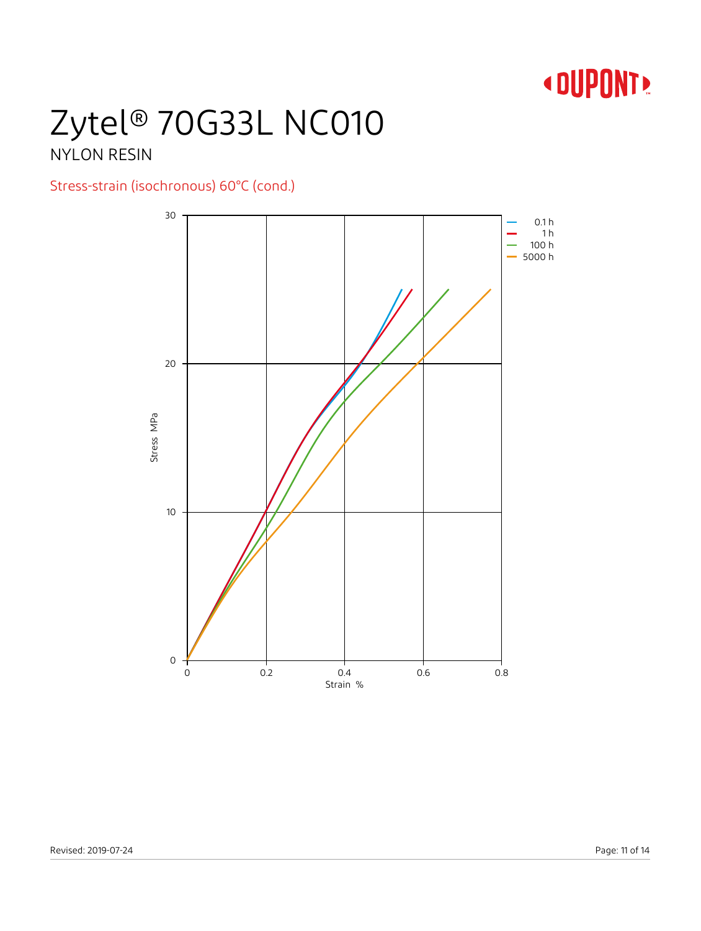# Zytel® 70G33L NC010

### NYLON RESIN

### Stress-strain (isochronous) 60°C (cond.)

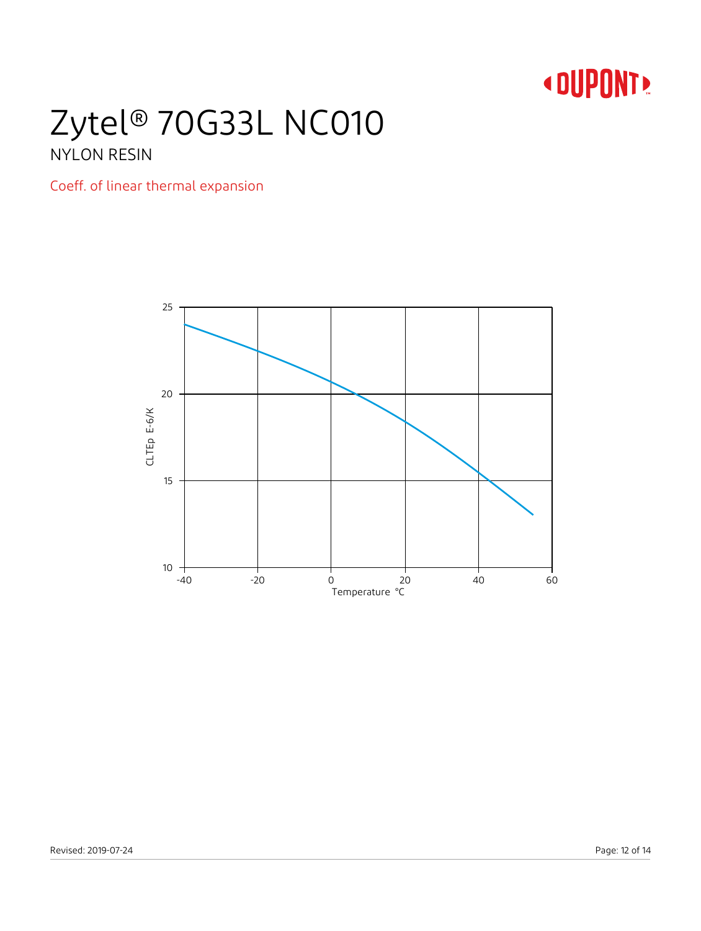### Zytel® 70G33L NC010 NYLON RESIN

### Coeff. of linear thermal expansion

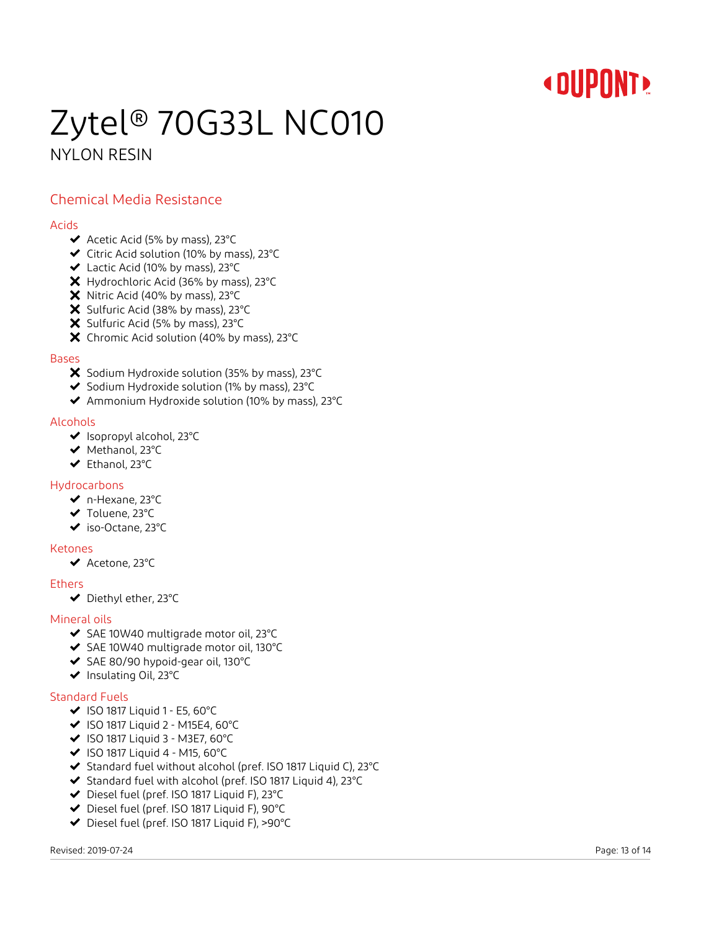### Zytel® 70G33L NC010 NYLON RESIN

### Chemical Media Resistance

#### Acids

- $\blacktriangleright$  Acetic Acid (5% by mass), 23°C
- Citric Acid solution (10% by mass), 23°C
- Lactic Acid (10% by mass), 23°C
- X Hydrochloric Acid (36% by mass), 23°C
- X Nitric Acid (40% by mass), 23°C
- X Sulfuric Acid (38% by mass), 23°C
- X Sulfuric Acid (5% by mass), 23°C
- X Chromic Acid solution (40% by mass), 23°C

### Bases

- X Sodium Hydroxide solution (35% by mass), 23°C
- $\blacktriangleright$  Sodium Hydroxide solution (1% by mass), 23°C
- Ammonium Hydroxide solution (10% by mass), 23°C

### Alcohols

- ◆ Isopropyl alcohol, 23°C
- ◆ Methanol, 23°C
- Ethanol, 23°C

#### Hydrocarbons

- n-Hexane, 23°C
- ◆ Toluene, 23°C
- iso-Octane, 23°C

#### Ketones

◆ Acetone, 23°C

#### Ethers

Diethyl ether, 23°C

#### Mineral oils

- ◆ SAE 10W40 multigrade motor oil, 23°C
- ◆ SAE 10W40 multigrade motor oil, 130°C
- ◆ SAE 80/90 hypoid-gear oil, 130°C
- ◆ Insulating Oil, 23°C

### Standard Fuels

- $\blacktriangleright$  ISO 1817 Liquid 1 E5, 60°C
- $\blacktriangleright$  ISO 1817 Liquid 2 M15E4, 60°C
- $\blacktriangleright$  ISO 1817 Liquid 3 M3E7, 60°C
- $\blacktriangleright$  ISO 1817 Liquid 4 M15, 60°C
- ◆ Standard fuel without alcohol (pref. ISO 1817 Liquid C), 23°C
- Standard fuel with alcohol (pref. ISO 1817 Liquid 4), 23°C
- Diesel fuel (pref. ISO 1817 Liquid F), 23°C
- Diesel fuel (pref. ISO 1817 Liquid F), 90°C
- Diesel fuel (pref. ISO 1817 Liquid F), >90°C